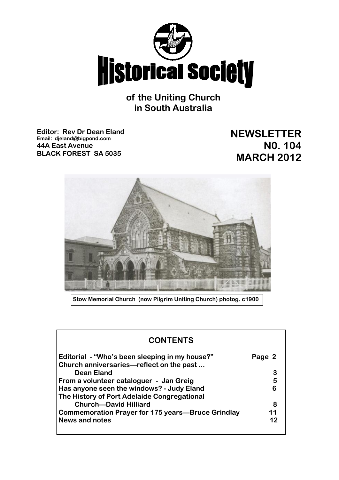

**of the Uniting Church in South Australia**

**Editor: Rev Dr Dean Eland Email: djeland@bigpond.com 44A East Avenue BLACK FOREST SA 5035**

**NEWSLETTER N0. 104 MARCH 2012**



**Stow Memorial Church (now Pilgrim Uniting Church) photog. c1900**

| <b>CONTENTS</b>                                                                            |        |
|--------------------------------------------------------------------------------------------|--------|
| Editorial - "Who's been sleeping in my house?"<br>Church anniversaries—reflect on the past | Page 2 |
| <b>Dean Eland</b>                                                                          | 3      |
| From a volunteer cataloguer - Jan Greig                                                    | 5      |
| Has anyone seen the windows? - Judy Eland                                                  | 6      |
| The History of Port Adelaide Congregational                                                |        |
| <b>Church-David Hilliard</b>                                                               | 8      |
| Commemoration Prayer for 175 years—Bruce Grindlay                                          | 11     |
| News and notes                                                                             | 12     |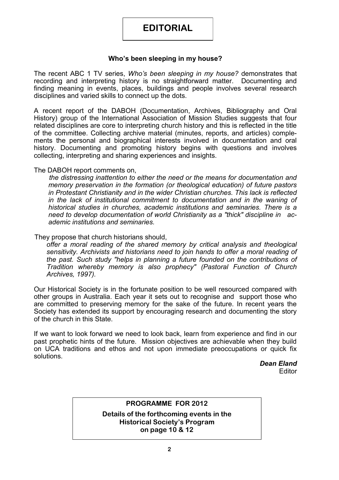# **EDITORIAL**

### **Who's been sleeping in my house?**

The recent ABC 1 TV series, *Who's been sleeping in my house?* demonstrates that recording and interpreting history is no straightforward matter. Documenting and finding meaning in events, places, buildings and people involves several research disciplines and varied skills to connect up the dots.

A recent report of the DABOH (Documentation, Archives, Bibliography and Oral History) group of the International Association of Mission Studies suggests that four related disciplines are core to interpreting church history and this is reflected in the title of the committee. Collecting archive material (minutes, reports, and articles) complements the personal and biographical interests involved in documentation and oral history. Documenting and promoting history begins with questions and involves collecting, interpreting and sharing experiences and insights.

### The DABOH report comments on,

*the distressing inattention to either the need or the means for documentation and memory preservation in the formation (or theological education) of future pastors in Protestant Christianity and in the wider Christian churches. This lack is reflected in the lack of institutional commitment to documentation and in the waning of historical studies in churches, academic institutions and seminaries. There is a need to develop documentation of world Christianity as a "thick" discipline in academic institutions and seminaries.*

### They propose that church historians should,

*offer a moral reading of the shared memory by critical analysis and theological sensitivity. Archivists and historians need to join hands to offer a moral reading of the past. Such study "helps in planning a future founded on the contributions of Tradition whereby memory is also prophecy" (Pastoral Function of Church Archives, 1997).*

Our Historical Society is in the fortunate position to be well resourced compared with other groups in Australia. Each year it sets out to recognise and support those who are committed to preserving memory for the sake of the future. In recent years the Society has extended its support by encouraging research and documenting the story of the church in this State.

If we want to look forward we need to look back, learn from experience and find in our past prophetic hints of the future. Mission objectives are achievable when they build on UCA traditions and ethos and not upon immediate preoccupations or quick fix solutions.

> *Dean Eland* **Editor**

### **PROGRAMME FOR 2012**

**Details of the forthcoming events in the Historical Society's Program on page 10 & 12**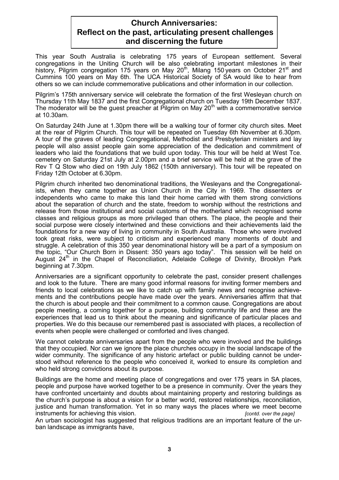### **Church Anniversaries: Reflect on the past, articulating present challenges and discerning the future**

This year South Australia is celebrating 175 years of European settlement. Several congregations in the Uniting Church will be also celebrating important milestones in their history, Pilgrim congregation 175 years on May 20<sup>th</sup>, Milang 150 years on October 21<sup>st</sup> and Cummins 100 years on May 6th. The UCA Historical Society of SA would like to hear from others so we can include commemorative publications and other information in our collection.

Pilgrim's 175th anniversary service will celebrate the formation of the first Wesleyan church on Thursday 11th May 1837 and the first Congregational church on Tuesday 19th December 1837. The moderator will be the guest preacher at Pilgrim on May 20<sup>th</sup> with a commemorative service at 10.30am.

On Saturday 24th June at 1.30pm there will be a walking tour of former city church sites. Meet at the rear of Pilgrim Church. This tour will be repeated on Tuesday 6th November at 6.30pm. A tour of the graves of leading Congregational, Methodist and Presbyterian ministers and lay people will also assist people gain some appreciation of the dedication and commitment of leaders who laid the foundations that we build upon today. This tour will be held at West Tce. cemetery on Saturday 21st July at 2.00pm and a brief service will be held at the grave of the Rev T Q Stow who died on 19th July 1862 (150th anniversary). This tour will be repeated on Friday 12th October at 6.30pm.

Pilgrim church inherited two denominational traditions, the Wesleyans and the Congregationalists, when they came together as Union Church in the City in 1969. The dissenters or independents who came to make this land their home carried with them strong convictions about the separation of church and the state, freedom to worship without the restrictions and release from those institutional and social customs of the motherland which recognised some classes and religious groups as more privileged than others. The place, the people and their social purpose were closely intertwined and these convictions and their achievements laid the foundations for a new way of living in community in South Australia. Those who were involved took great risks, were subject to criticism and experienced many moments of doubt and struggle. A celebration of this 350 year denominational history will be a part of a symposium on the topic, "Our Church Born in Dissent: 350 years ago today". This session will be held on August 24<sup>th</sup> in the Chapel of Reconciliation, Adelaide College of Divinity, Brooklyn Park beginning at 7.30pm.

Anniversaries are a significant opportunity to celebrate the past, consider present challenges and look to the future. There are many good informal reasons for inviting former members and friends to local celebrations as we like to catch up with family news and recognise achievements and the contributions people have made over the years. Anniversaries affirm that that the church is about people and their commitment to a common cause. Congregations are about people meeting, a coming together for a purpose, building community life and these are the experiences that lead us to think about the meaning and significance of particular places and properties. We do this because our remembered past is associated with places, a recollection of events when people were challenged or comforted and lives changed.

We cannot celebrate anniversaries apart from the people who were involved and the buildings that they occupied. Nor can we ignore the place churches occupy in the social landscape of the wider community. The significance of any historic artefact or public building cannot be understood without reference to the people who conceived it, worked to ensure its completion and who held strong convictions about its purpose.

Buildings are the home and meeting place of congregations and over 175 years in SA places, people and purpose have worked together to be a presence in community. Over the years they have confronted uncertainty and doubts about maintaining property and restoring buildings as the church's purpose is about a vision for a better world, restored relationships, reconciliation, justice and human transformation. Yet in so many ways the places where we meet become instruments for achieving this vision. *[contd. over the page]*

An urban sociologist has suggested that religious traditions are an important feature of the urban landscape as immigrants have,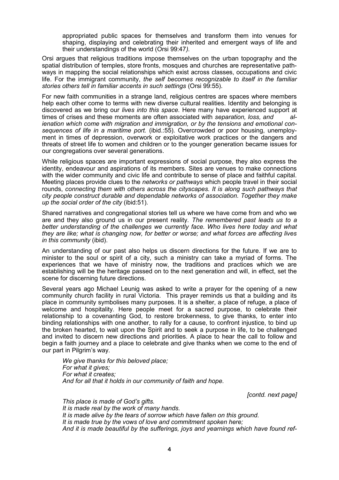appropriated public spaces for themselves and transform them into venues for shaping, displaying and celebrating their inherited and emergent ways of life and their understandings of the world (Orsi 99:47*).*

Orsi argues that religious traditions impose themselves on the urban topography and the spatial distribution of temples, store fronts, mosques and churches are representative pathways in mapping the social relationships which exist across classes, occupations and civic life. For the immigrant community, *the self becomes recognizable to itself in the familiar stories others tell in familiar accents in such settings* (Orsi 99:55).

For new faith communities in a strange land, religious centres are spaces where members help each other come to terms with new diverse cultural realities. Identity and belonging is discovered as we bring our *lives into this space.* Here many have experienced support at times of crises and these moments are often associated with *separation, loss, and alienation which come with migration and immigration, or by the tensions and emotional consequences of life in a maritime port.* (ibid.:55). Overcrowded or poor housing, unemployment in times of depression, overwork or exploitative work practices or the dangers and threats of street life to women and children or to the younger generation became issues for our congregations over several generations.

While religious spaces are important expressions of social purpose, they also express the identity, endeavour and aspirations of its members. Sites are venues to make connections with the wider community and civic life and contribute to sense of place and faithful capital. Meeting places provide clues to the *networks or pathways* which people travel in their social rounds, *connecting them with others across the cityscapes. It is along such pathways that city people construct durable and dependable networks of association. Together they make up the social order of the city* (ibid:51).

Shared narratives and congregational stories tell us where we have come from and who we are and they also ground us in our present reality. *The remembered past leads us to a better understanding of the challenges we currently face. Who lives here today and what they are like; what is changing now, for better or worse; and what forces are affecting lives in this community* (ibid).

An understanding of our past also helps us discern directions for the future. If we are to minister to the soul or spirit of a city, such a ministry can take a myriad of forms. The experiences that we have of ministry now, the traditions and practices which we are establishing will be the heritage passed on to the next generation and will, in effect, set the scene for discerning future directions.

Several years ago Michael Leunig was asked to write a prayer for the opening of a new community church facility in rural Victoria. This prayer reminds us that a building and its place in community symbolises many purposes. It is a shelter, a place of refuge, a place of welcome and hospitality. Here people meet for a sacred purpose, to celebrate their relationship to a covenanting God, to restore brokenness, to give thanks, to enter into binding relationships with one another, to rally for a cause, to confront injustice, to bind up the broken hearted, to wait upon the Spirit and to seek a purpose in life, to be challenged and invited to discern new directions and priorities. A place to hear the call to follow and begin a faith journey and a place to celebrate and give thanks when we come to the end of our part in Pilgrim's way.

*We give thanks for this beloved place; For what it gives; For what it creates; And for all that it holds in our community of faith and hope.*

*[contd. next page]*

*This place is made of God's gifts. It is made real by the work of many hands. It is made alive by the tears of sorrow which have fallen on this ground. It is made true by the vows of love and commitment spoken here; And it is made beautiful by the sufferings, joys and yearnings which have found ref-*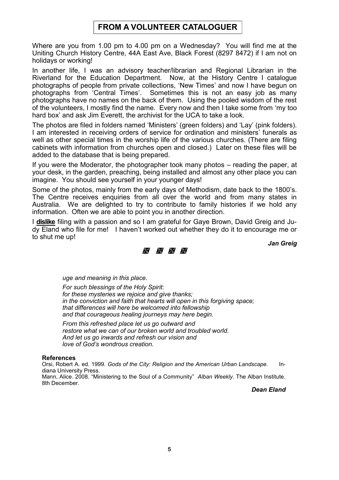## **FROM A VOLUNTEER CATALOGUER**

Where are you from 1.00 pm to 4.00 pm on a Wednesday? You will find me at the Uniting Church History Centre, 44A East Ave, Black Forest (8297 8472) if I am not on holidays or working!

In another life, I was an advisory teacher/librarian and Regional Librarian in the Riverland for the Education Department. Now, at the History Centre I catalogue photographs of people from private collections, 'New Times' and now I have begun on photographs from 'Central Times'. Sometimes this is not an easy job as many photographs have no names on the back of them. Using the pooled wisdom of the rest of the volunteers, I mostly find the name. Every now and then I take some from 'my too hard box' and ask Jim Everett, the archivist for the UCA to take a look.

The photos are filed in folders named 'Ministers' (green folders) and 'Lay' (pink folders). I am interested in receiving orders of service for ordination and ministers' funerals as well as other special times in the worship life of the various churches. (There are filing cabinets with information from churches open and closed.) Later on these files will be added to the database that is being prepared.

If you were the Moderator, the photographer took many photos – reading the paper, at your desk, in the garden, preaching, being installed and almost any other place you can imagine. You should see yourself in your younger days!

Some of the photos, mainly from the early days of Methodism, date back to the 1800's. The Centre receives enquiries from all over the world and from many states in Australia. We are delighted to try to contribute to family histories if we hold any information. Often we are able to point you in another direction.

I **dislike** filing with a passion and so I am grateful for Gaye Brown, David Greig and Judy Eland who file for me! I haven't worked out whether they do it to encourage me or to shut me up!

*Jan Greig*



*uge and meaning in this place.* 

*For such blessings of the Holy Spirit: for these mysteries we rejoice and give thanks; in the conviction and faith that hearts will open in this forgiving space; that differences will here be welcomed into fellowship and that courageous healing journeys may here begin.* 

*From this refreshed place let us go outward and restore what we can of our broken world and troubled world. And let us go inwards and refresh our vision and love of God's wondrous creation.* 

#### **References**

Orsi, Robert A. ed. 1999. *Gods of the City: Religion and the American Urban Landscape.* Indiana University Press. Mann, Alice. 2008. "Ministering to the Soul of a Community" *Alban Weekly*. The Alban Institute. 8th December.

*Dean Eland*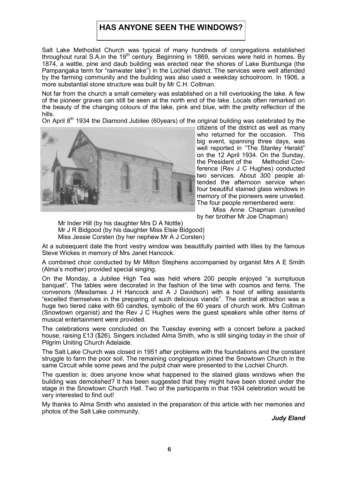## **HAS ANYONE SEEN THE WINDOWS?**

Salt Lake Methodist Church was typical of many hundreds of congregations established throughout rural S.A.in the 19<sup>th</sup> century. Beginning in 1869, services were held in homes. By 1874, a wattle, pine and daub building was erected near the shores of Lake Bumbunga (the Pampangaka term for "rainwater lake") in the Lochiel district. The services were well attended by the farming community and the building was also used a weekday schoolroom. In 1906, a more substantial stone structure was built by Mr C.H. Coltman.

Not far from the church a small cemetery was established on a hill overlooking the lake. A few of the pioneer graves can still be seen at the north end of the lake. Locals often remarked on the beauty of the changing colours of the lake, pink and blue, with the pretty reflection of the hills.

On April 8<sup>th</sup> 1934 the Diamond Jubilee (60years) of the original building was celebrated by the



citizens of the district as well as many who returned for the occasion. This big event, spanning three days, was well reported in "The Stanley Herald" on the 12 April 1934. On the Sunday, the President of the Methodist Conference (Rev J C Hughes) conducted two services. About 300 people attended the afternoon service when four beautiful stained glass windows in memory of the pioneers were unveiled. The four people remembered were:

Miss Anne Chapman (unveiled by her brother Mr Joe Chapman)

Mr Inder Hill (by his daughter Mrs D A Nottle) Mr J R Bidgood (by his daughter Miss Elsie Bidgood) Miss Jessie Corsten (by her nephew Mr A J Corsten)

At a subsequent date the front vestry window was beautifully painted with lilies by the famous Steve Wickes in memory of Mrs Janet Hancock.

A combined choir conducted by Mr Milton Stephens accompanied by organist Mrs A E Smith (Alma's mother) provided special singing.

On the Monday, a Jubilee High Tea was held where 200 people enjoyed "a sumptuous banquet". The tables were decorated in the fashion of the time with cosmos and ferns. The convenors (Mesdames J H Hancock and A J Davidson) with a host of willing assistants "excelled themselves in the preparing of such delicious viands". The central attraction was a huge two tiered cake with 60 candles, symbolic of the 60 years of church work. Mrs Coltman (Snowtown organist) and the Rev J C Hughes were the guest speakers while other items of musical entertainment were provided.

The celebrations were concluded on the Tuesday evening with a concert before a packed house, raising £13 (\$26). Singers included Alma Smith, who is still singing today in the choir of Pilgrim Uniting Church Adelaide.

The Salt Lake Church was closed in 1951 after problems with the foundations and the constant struggle to farm the poor soil. The remaining congregation joined the Snowtown Church in the same Circuit while some pews and the pulpit chair were presented to the Lochiel Church.

The question is; does anyone know what happened to the stained glass windows when the building was demolished? It has been suggested that they might have been stored under the stage in the Snowtown Church Hall. Two of the participants in that 1934 celebration would be very interested to find out!

My thanks to Alma Smith who assisted in the preparation of this article with her memories and photos of the Salt Lake community.

*Judy Eland*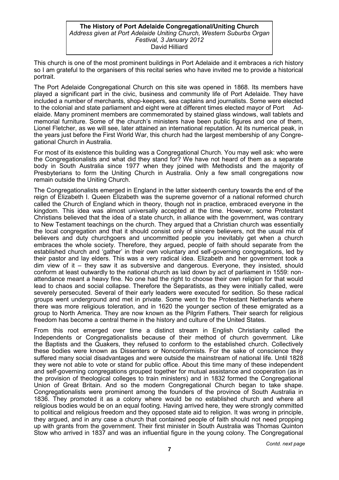#### **The History of Port Adelaide Congregational/Uniting Church**  *Address given at Port Adelaide Uniting Church, Western Suburbs Organ Festival, 3 January 2012* David Hilliard

This church is one of the most prominent buildings in Port Adelaide and it embraces a rich history so I am grateful to the organisers of this recital series who have invited me to provide a historical portrait.

The Port Adelaide Congregational Church on this site was opened in 1868. Its members have played a significant part in the civic, business and community life of Port Adelaide. They have included a number of merchants, shop-keepers, sea captains and journalists. Some were elected to the colonial and state parliament and eight were at different times elected mayor of Port Adelaide. Many prominent members are commemorated by stained glass windows, wall tablets and memorial furniture. Some of the church's ministers have been public figures and one of them, Lionel Fletcher, as we will see, later attained an international reputation. At its numerical peak, in the years just before the First World War, this church had the largest membership of any Congregational Church in Australia.

For most of its existence this building was a Congregational Church. You may well ask: who were the Congregationalists and what did they stand for? We have not heard of them as a separate body in South Australia since 1977 when they joined with Methodists and the majority of Presbyterians to form the Uniting Church in Australia. Only a few small congregations now remain outside the Uniting Church.

The Congregationalists emerged in England in the latter sixteenth century towards the end of the reign of Elizabeth I. Queen Elizabeth was the supreme governor of a national reformed church called the Church of England which in theory, though not in practice, embraced everyone in the kingdom. This idea was almost universally accepted at the time. However, some Protestant Christians believed that the idea of a state church, in alliance with the government, was contrary to New Testament teachings on the church. They argued that a Christian church was essentially the local congregation and that it should consist only of sincere believers, not the usual mix of believers and duty churchgoers and uncommitted people you inevitably get when a church embraces the whole society. Therefore, they argued, people of faith should separate from the established church and 'gather' in their own voluntary and self-governing congregations, led by their pastor and lay elders. This was a very radical idea. Elizabeth and her government took a dim view of it – they saw it as subversive and dangerous. Everyone, they insisted, should conform at least outwardly to the national church as laid down by act of parliament in 1559: nonattendance meant a heavy fine. No one had the right to choose their own religion for that would lead to chaos and social collapse. Therefore the Separatists, as they were initially called, were severely persecuted. Several of their early leaders were executed for sedition. So these radical groups went underground and met in private. Some went to the Protestant Netherlands where there was more religious toleration, and in 1620 the younger section of these emigrated as a group to North America. They are now known as the Pilgrim Fathers. Their search for religious freedom has become a central theme in the history and culture of the United States.

From this root emerged over time a distinct stream in English Christianity called the Independents or Congregationalists because of their method of church government. Like the Baptists and the Quakers, they refused to conform to the established church. Collectively these bodies were known as Dissenters or Nonconformists. For the sake of conscience they suffered many social disadvantages and were outside the mainstream of national life. Until 1828 they were not able to vote or stand for public office. About this time many of these independent and self-governing congregations grouped together for mutual assistance and cooperation (as in the provision of theological colleges to train ministers) and in 1832 formed the Congregational Union of Great Britain. And so the modern Congregational Church began to take shape. Congregationalists were prominent among the founders of the province of South Australia in 1836. They promoted it as a colony where would be no established church and where all religious bodies would be on an equal footing. Having arrived here, they were strongly committed to political and religious freedom and they opposed state aid to religion. It was wrong in principle, they argued, and in any case a church that contained people of faith should not need propping up with grants from the government. Their first minister in South Australia was Thomas Quinton Stow who arrived in 1837 and was an influential figure in the young colony. The Congregational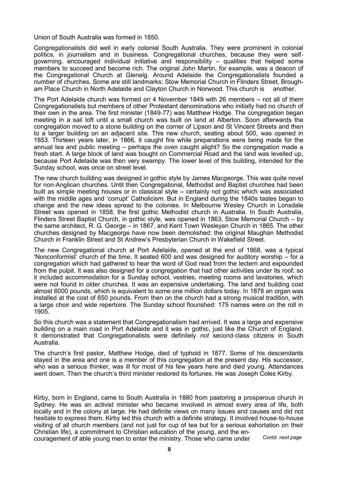Union of South Australia was formed in 1850.

Congregationalists did well in early colonial South Australia. They were prominent in colonial politics, in journalism and in business. Congregational churches, because they were selfgoverning, encouraged individual initiative and responsibility – qualities that helped some members to succeed and become rich. The original John Martin, for example, was a deacon of the Congregational Church at Glenelg. Around Adelaide the Congregationalists founded a number of churches. Some are still landmarks: Stow Memorial Church in Flinders Street, Brougham Place Church in North Adelaide and Clayton Church in Norwood. This church is another.

The Port Adelaide church was formed on 4 November 1849 with 26 members – not all of them Congregationalists but members of other Protestant denominations who initially had no church of their own in the area. The first minister (1849-77) was Matthew Hodge. The congregation began meeting in a sail loft until a small church was built on land at Alberton. Soon afterwards the congregation moved to a stone building on the corner of Lipson and St Vincent Streets and then to a larger building on an adjacent site. This new church, seating about 500, was opened in 1853. Thirteen years later, in 1866, it caught fire while preparations were being made for the annual tea and public meeting – perhaps the oven caught alight? So the congregation made a fresh start. A large block of land was bought on Commercial Road and the land was levelled up, because Port Adelaide was then very swampy. The lower level of this building, intended for the Sunday school, was once on street level.

The new church building was designed in gothic style by James Macgeorge. This was quite novel for non-Anglican churches. Until then Congregational, Methodist and Baptist churches had been built as simple meeting houses or in classical style – certainly not gothic which was associated with the middle ages and 'corrupt' Catholicism. But in England during the 1840s tastes began to change and the new ideas spread to the colonies. In Melbourne Wesley Church in Lonsdale Street was opened in 1858, the first gothic Methodist church in Australia. In South Australia, Flinders Street Baptist Church, in gothic style, was opened in 1863, Stow Memorial Church – by the same architect, R. G. George – in 1867, and Kent Town Wesleyan Church in 1865. The other churches designed by Macgeorge have now been demolished: the original Maughan Methodist Church in Franklin Street and St Andrew's Presbyterian Church in Wakefield Street.

The new Congregational church at Port Adelaide, opened at the end of 1868, was a typical 'Nonconformist' church of the time. It seated 600 and was designed for auditory worship – for a congregation which had gathered to hear the word of God read from the lectern and expounded from the pulpit. It was also designed for a congregation that had other activities under its roof; so it included accommodation for a Sunday school, vestries, meeting rooms and lavatories, which were not found in older churches. It was an expensive undertaking. The land and building cost almost 6000 pounds, which is equivalent to some one million dollars today. In 1878 an organ was installed at the cost of 650 pounds. From then on the church had a strong musical tradition, with a large choir and wide repertoire. The Sunday school flourished: 175 names were on the roll in 1905.

So this church was a statement that Congregationalism had arrived. It was a large and expensive building on a main road in Port Adelaide and it was in gothic, just like the Church of England. It demonstrated that Congregationalists were definitely *not* second-class citizens in South Australia.

The church's first pastor, Matthew Hodge, died of typhoid in 1877. Some of his descendants stayed in the area and one is a member of this congregation at the present day. His successor, who was a serious thinker, was ill for most of his few years here and died young. Attendances went down. Then the church's third minister restored its fortunes. He was Joseph Coles Kirby.

Kirby, born in England, came to South Australia in 1880 from pastoring a prosperous church in Sydney. He was an activist minister who became involved in almost every area of life, both locally and in the colony at large. He had definite views on many issues and causes and did not hesitate to express them. Kirby led this church with a definite strategy. It involved house-to-house visiting of all church members (and not just for cup of tea but for a serious exhortation on their Christian life), a commitment to Christian education of the young, and the encouragement of able young men to enter the ministry. Those who came under *Contd. next page*

**8**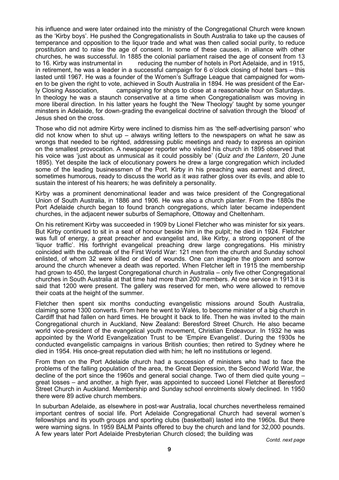his influence and were later ordained into the ministry of the Congregational Church were known as the 'Kirby boys'. He pushed the Congregationalists in South Australia to take up the causes of temperance and opposition to the liquor trade and what was then called social purity, to reduce prostitution and to raise the age of consent. In some of these causes, in alliance with other churches, he was successful. In 1885 the colonial parliament raised the age of consent from 13 to 16. Kirby was instrumental in reducing the number of hotels in Port Adelaide, and in 1915, in retirement, he was a leader in a successful campaign for 6 o'clock closing of hotel bars – this lasted until 1967. He was a founder of the Women's Suffrage League that campaigned for women to be given the right to vote, achieved in South Australia in 1894. He was president of the Early Closing Association, campaigning for shops to close at a reasonable hour on Saturdays. In theology he was a staunch conservative at a time when Congregationalism was moving in more liberal direction. In his latter years he fought the 'New Theology' taught by some younger minsters in Adelaide, for down-grading the evangelical doctrine of salvation through the 'blood' of Jesus shed on the cross.

Those who did not admire Kirby were inclined to dismiss him as 'the self-advertising parson' who did not know when to shut up – always writing letters to the newspapers on what he saw as wrongs that needed to be righted, addressing public meetings and ready to express an opinion on the smallest provocation. A newspaper reporter who visited his church in 1895 observed that his voice was 'just about as unmusical as it could possibly be' (*Quiz and the Lantern*, 20 June 1895). Yet despite the lack of elocutionary powers he drew a large congregation which included some of the leading businessmen of the Port. Kirby in his preaching was earnest and direct, sometimes humorous, ready to discuss the world as it *was* rather gloss over its evils, and able to sustain the interest of his hearers; he was definitely a personality.

Kirby was a prominent denominational leader and was twice president of the Congregational Union of South Australia, in 1886 and 1906. He was also a church planter. From the 1880s the Port Adelaide church began to found branch congregations, which later became independent churches, in the adjacent newer suburbs of Semaphore, Ottoway and Cheltenham.

On his retirement Kirby was succeeded in 1909 by Lionel Fletcher who was minister for six years. But Kirby continued to sit in a seat of honour beside him in the pulpit; he died in 1924. Fletcher was full of energy, a great preacher and evangelist and, like Kirby, a strong opponent of the 'liquor traffic'. His forthright evangelical preaching drew large congregations. His ministry coincided with the outbreak of the First World War: 121 men from the church and Sunday school enlisted, of whom 32 were killed or died of wounds. One can imagine the gloom and sorrow around the church whenever a death was reported. When Fletcher left in 1915 the membership had grown to 450, the largest Congregational church in Australia – only five other Congregational churches in South Australia at that time had more than 200 members. At one service in 1913 it is said that 1200 were present. The gallery was reserved for men, who were allowed to remove their coats at the height of the summer.

Fletcher then spent six months conducting evangelistic missions around South Australia, claiming some 1300 converts. From here he went to Wales, to become minister of a big church in Cardiff that had fallen on hard times. He brought it back to life. Then he was invited to the main Congregational church in Auckland, New Zealand: Beresford Street Church. He also became world vice-president of the evangelical youth movement, Christian Endeavour. In 1932 he was appointed by the World Evangelization Trust to be 'Empire Evangelist'. During the 1930s he conducted evangelistic campaigns in various British counties; then retired to Sydney where he died in 1954. His once-great reputation died with him; he left no institutions or legend.

From then on the Port Adelaide church had a succession of ministers who had to face the problems of the falling population of the area, the Great Depression, the Second World War, the decline of the port since the 1960s and general social change. Two of them died quite young – great losses – and another, a high flyer, was appointed to succeed Lionel Fletcher at Beresford Street Church in Auckland. Membership and Sunday school enrolments slowly declined. In 1950 there were 89 active church members.

In suburban Adelaide, as elsewhere in post-war Australia, local churches nevertheless remained important centres of social life. Port Adelaide Congregational Church had several women's fellowships and its youth groups and sporting clubs (basketball) lasted into the 1960s. But there were warning signs. In 1959 BALM Paints offered to buy the church and land for 32,000 pounds. A few years later Port Adelaide Presbyterian Church closed; the building was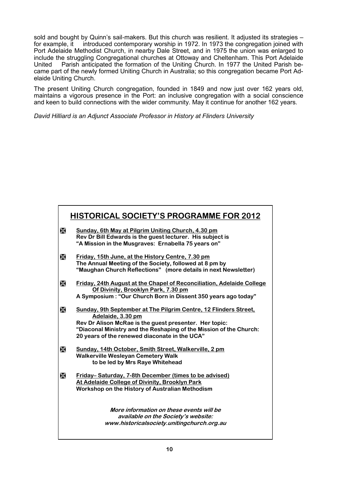sold and bought by Quinn's sail-makers. But this church was resilient. It adjusted its strategies for example, it introduced contemporary worship in 1972. In 1973 the congregation joined with Port Adelaide Methodist Church, in nearby Dale Street, and in 1975 the union was enlarged to include the struggling Congregational churches at Ottoway and Cheltenham. This Port Adelaide United Parish anticipated the formation of the Uniting Church. In 1977 the United Parish became part of the newly formed Uniting Church in Australia; so this congregation became Port Adelaide Uniting Church.

The present Uniting Church congregation, founded in 1849 and now just over 162 years old, maintains a vigorous presence in the Port: an inclusive congregation with a social conscience and keen to build connections with the wider community. May it continue for another 162 years.

*David Hilliard is an Adjunct Associate Professor in History at Flinders University*

## **HISTORICAL SOCIETY'S PROGRAMME FOR 2012**

- **Sunday, 6th May at Pilgrim Uniting Church, 4.30 pm Rev Dr Bill Edwards is the guest lecturer. His subject is "A Mission in the Musgraves: Ernabella 75 years on"**
- **Friday, 15th June, at the History Centre, 7.30 pm The Annual Meeting of the Society, followed at 8 pm by "Maughan Church Reflections" (more details in next Newsletter)**
- **Friday, 24th August at the Chapel of Reconciliation, Adelaide College Of Divinity, Brooklyn Park, 7.30 pm A Symposium : "Our Church Born in Dissent 350 years ago today"**
- **Sunday, 9th September at The Pilgrim Centre, 12 Flinders Street, Adelaide, 3.30 pm Rev Dr Alison McRae is the guest presenter. Her topic: "Diaconal Ministry and the Reshaping of the Mission of the Church: 20 years of the renewed diaconate in the UCA"**
- **Sunday, 14th October, Smith Street, Walkerville, 2 pm Walkerville Wesleyan Cemetery Walk to be led by Mrs Raye Whitehead**
- **Friday–** Saturday, 7-8th December (times to be advised) **At Adelaide College of Divinity, Brooklyn Park Workshop on the History of Australian Methodism**

**More information on these events will be available on the Society's website: www.historicalsociety.unitingchurch.org.au**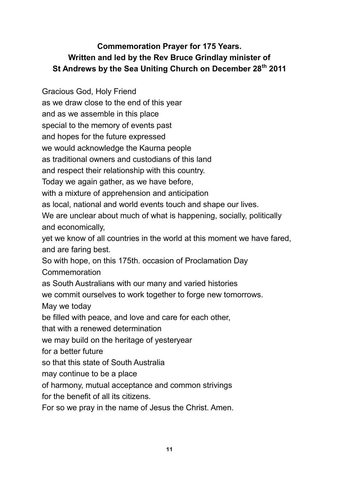# **Commemoration Prayer for 175 Years. Written and led by the Rev Bruce Grindlay minister of St Andrews by the Sea Uniting Church on December 28th 2011**

Gracious God, Holy Friend as we draw close to the end of this year and as we assemble in this place special to the memory of events past and hopes for the future expressed we would acknowledge the Kaurna people as traditional owners and custodians of this land and respect their relationship with this country. Today we again gather, as we have before, with a mixture of apprehension and anticipation as local, national and world events touch and shape our lives. We are unclear about much of what is happening, socially, politically and economically, yet we know of all countries in the world at this moment we have fared, and are faring best. So with hope, on this 175th. occasion of Proclamation Day Commemoration as South Australians with our many and varied histories we commit ourselves to work together to forge new tomorrows. May we today be filled with peace, and love and care for each other, that with a renewed determination we may build on the heritage of yesteryear for a better future so that this state of South Australia may continue to be a place of harmony, mutual acceptance and common strivings

for the benefit of all its citizens.

For so we pray in the name of Jesus the Christ. Amen.